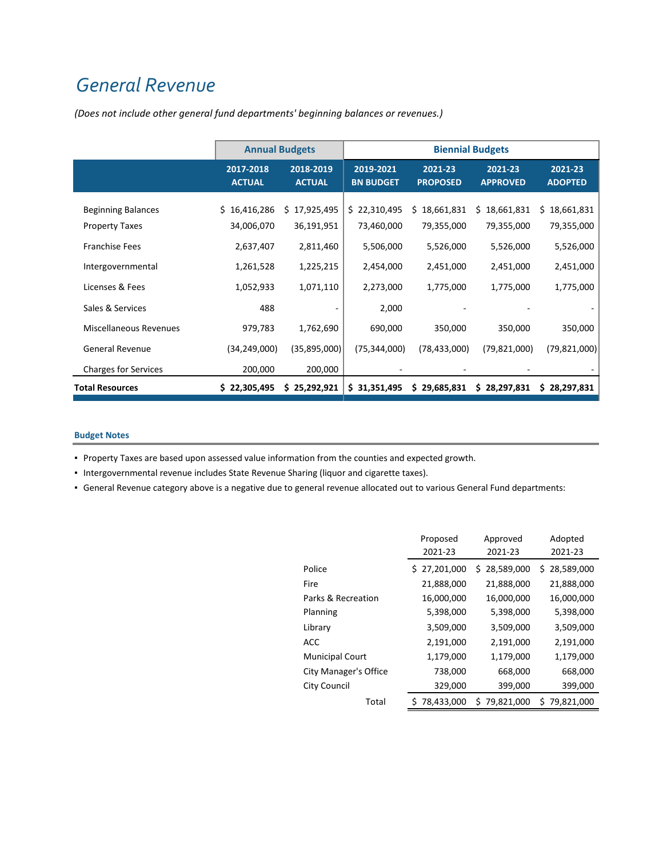## *General Revenue*

|                                            | <b>Annual Budgets</b>      |                            | <b>Biennial Budgets</b>       |                            |                            |                               |  |
|--------------------------------------------|----------------------------|----------------------------|-------------------------------|----------------------------|----------------------------|-------------------------------|--|
|                                            | 2017-2018<br><b>ACTUAL</b> | 2018-2019<br><b>ACTUAL</b> | 2019-2021<br><b>BN BUDGET</b> | 2021-23<br><b>PROPOSED</b> | 2021-23<br><b>APPROVED</b> | $2021 - 23$<br><b>ADOPTED</b> |  |
| <b>Beginning Balances</b>                  | \$16,416,286               | 17,925,495<br>Ś.           | \$22,310,495                  | \$18,661,831               | \$18,661,831               | \$18,661,831                  |  |
| <b>Property Taxes</b>                      | 34,006,070                 | 36,191,951                 | 73,460,000                    | 79,355,000                 | 79,355,000                 | 79,355,000                    |  |
| <b>Franchise Fees</b>                      | 2,637,407                  | 2,811,460                  | 5,506,000                     | 5,526,000                  | 5,526,000                  | 5,526,000                     |  |
| Intergovernmental                          | 1,261,528                  | 1,225,215                  | 2,454,000                     | 2,451,000                  | 2,451,000                  | 2,451,000                     |  |
| Licenses & Fees                            | 1,052,933                  | 1,071,110                  | 2,273,000                     | 1,775,000                  | 1,775,000                  | 1,775,000                     |  |
| Sales & Services<br>Miscellaneous Revenues | 488<br>979,783             | 1,762,690                  | 2,000<br>690,000              | 350,000                    | 350,000                    | 350,000                       |  |
| <b>General Revenue</b>                     | (34,249,000)               | (35,895,000)               | (75, 344, 000)                | (78, 433, 000)             | (79, 821, 000)             | (79, 821, 000)                |  |
| <b>Charges for Services</b>                | 200,000                    | 200,000                    |                               |                            |                            |                               |  |
| <b>Total Resources</b>                     | \$22,305,495               | \$25,292,921               | \$31,351,495                  | \$29,685,831               | \$28,297,831               | \$28,297,831                  |  |

*(Does not include other general fund departments' beginning balances or revenues.)*

## **Budget Notes**

▪ Property Taxes are based upon assessed value information from the counties and expected growth.

▪ Intergovernmental revenue includes State Revenue Sharing (liquor and cigarette taxes).

▪ General Revenue category above is a negative due to general revenue allocated out to various General Fund departments:

|                        | Proposed           | Approved        | Adopted          |  |
|------------------------|--------------------|-----------------|------------------|--|
|                        | 2021-23<br>2021-23 |                 | 2021-23          |  |
| Police                 | 27,201,000<br>\$.  | \$28,589,000    | 28,589,000<br>S. |  |
| Fire                   | 21,888,000         | 21,888,000      | 21,888,000       |  |
| Parks & Recreation     | 16,000,000         | 16,000,000      | 16,000,000       |  |
| Planning               | 5,398,000          | 5,398,000       | 5,398,000        |  |
| Library                | 3,509,000          | 3,509,000       | 3,509,000        |  |
| ACC                    | 2,191,000          | 2,191,000       | 2,191,000        |  |
| <b>Municipal Court</b> | 1,179,000          | 1,179,000       | 1,179,000        |  |
| City Manager's Office  | 738,000            | 668,000         | 668,000          |  |
| City Council           | 329,000            | 399,000         | 399,000          |  |
| Total                  | 78,433,000         | 79,821,000<br>S | 79,821,000<br>S  |  |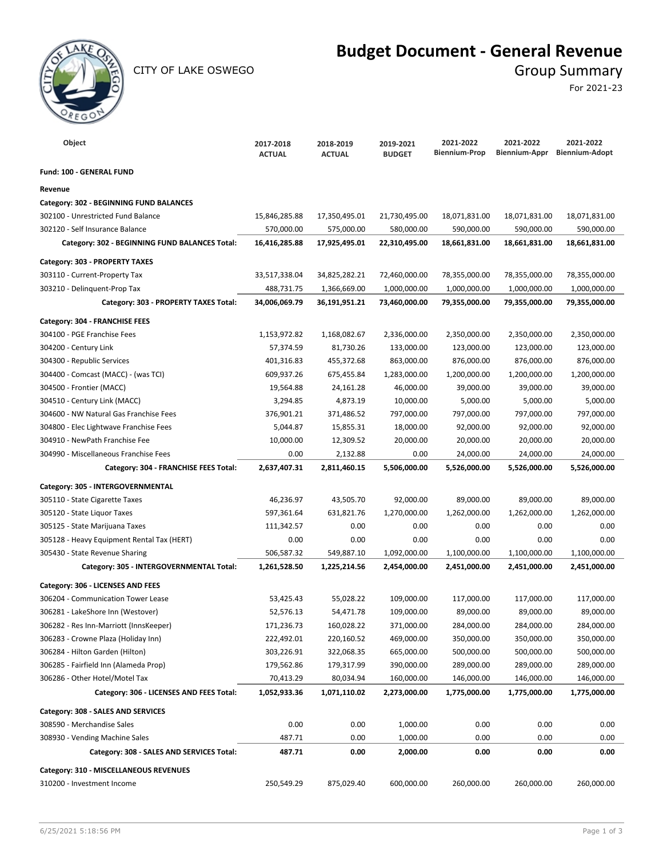

CITY OF LAKE OSWEGO GROUP SUMMARY

## **Budget Document - General Revenue**

For 2021-23

| Object                                         | 2017-2018<br><b>ACTUAL</b> | 2018-2019<br><b>ACTUAL</b> | 2019-2021<br><b>BUDGET</b> | 2021-2022<br><b>Biennium-Prop</b> | 2021-2022<br>Biennium-Appr | 2021-2022<br><b>Biennium-Adopt</b> |
|------------------------------------------------|----------------------------|----------------------------|----------------------------|-----------------------------------|----------------------------|------------------------------------|
| <b>Fund: 100 - GENERAL FUND</b>                |                            |                            |                            |                                   |                            |                                    |
| Revenue                                        |                            |                            |                            |                                   |                            |                                    |
| Category: 302 - BEGINNING FUND BALANCES        |                            |                            |                            |                                   |                            |                                    |
| 302100 - Unrestricted Fund Balance             | 15,846,285.88              | 17,350,495.01              | 21,730,495.00              | 18,071,831.00                     | 18,071,831.00              | 18,071,831.00                      |
| 302120 - Self Insurance Balance                | 570,000.00                 | 575,000.00                 | 580,000.00                 | 590,000.00                        | 590,000.00                 | 590,000.00                         |
| Category: 302 - BEGINNING FUND BALANCES Total: | 16,416,285.88              | 17,925,495.01              | 22,310,495.00              | 18,661,831.00                     | 18,661,831.00              | 18,661,831.00                      |
| Category: 303 - PROPERTY TAXES                 |                            |                            |                            |                                   |                            |                                    |
| 303110 - Current-Property Tax                  | 33,517,338.04              | 34,825,282.21              | 72,460,000.00              | 78,355,000.00                     | 78,355,000.00              | 78,355,000.00                      |
| 303210 - Delinquent-Prop Tax                   | 488,731.75                 | 1,366,669.00               | 1,000,000.00               | 1,000,000.00                      | 1,000,000.00               | 1,000,000.00                       |
| Category: 303 - PROPERTY TAXES Total:          | 34,006,069.79              | 36,191,951.21              | 73,460,000.00              | 79,355,000.00                     | 79,355,000.00              | 79,355,000.00                      |
| Category: 304 - FRANCHISE FEES                 |                            |                            |                            |                                   |                            |                                    |
| 304100 - PGE Franchise Fees                    | 1,153,972.82               | 1,168,082.67               | 2,336,000.00               | 2,350,000.00                      | 2,350,000.00               | 2,350,000.00                       |
| 304200 - Century Link                          | 57,374.59                  | 81,730.26                  | 133,000.00                 | 123,000.00                        | 123,000.00                 | 123,000.00                         |
| 304300 - Republic Services                     | 401,316.83                 | 455,372.68                 | 863,000.00                 | 876,000.00                        | 876,000.00                 | 876,000.00                         |
| 304400 - Comcast (MACC) - (was TCI)            | 609,937.26                 | 675,455.84                 | 1,283,000.00               | 1,200,000.00                      | 1,200,000.00               | 1,200,000.00                       |
| 304500 - Frontier (MACC)                       | 19,564.88                  | 24,161.28                  | 46,000.00                  | 39,000.00                         | 39,000.00                  | 39,000.00                          |
| 304510 - Century Link (MACC)                   | 3,294.85                   | 4,873.19                   | 10,000.00                  | 5,000.00                          | 5,000.00                   | 5,000.00                           |
| 304600 - NW Natural Gas Franchise Fees         | 376,901.21                 | 371,486.52                 | 797,000.00                 | 797,000.00                        | 797,000.00                 | 797,000.00                         |
| 304800 - Elec Lightwave Franchise Fees         | 5,044.87                   | 15,855.31                  | 18,000.00                  | 92,000.00                         | 92,000.00                  | 92,000.00                          |
| 304910 - NewPath Franchise Fee                 | 10,000.00                  | 12,309.52                  | 20,000.00                  | 20,000.00                         | 20,000.00                  | 20,000.00                          |
| 304990 - Miscellaneous Franchise Fees          | 0.00                       | 2,132.88                   | 0.00                       | 24,000.00                         | 24,000.00                  | 24,000.00                          |
| Category: 304 - FRANCHISE FEES Total:          | 2,637,407.31               | 2,811,460.15               | 5,506,000.00               | 5,526,000.00                      | 5,526,000.00               | 5,526,000.00                       |
| Category: 305 - INTERGOVERNMENTAL              |                            |                            |                            |                                   |                            |                                    |
| 305110 - State Cigarette Taxes                 | 46,236.97                  | 43,505.70                  | 92,000.00                  | 89,000.00                         | 89,000.00                  | 89,000.00                          |
| 305120 - State Liquor Taxes                    | 597,361.64                 | 631,821.76                 | 1,270,000.00               | 1,262,000.00                      | 1,262,000.00               | 1,262,000.00                       |
| 305125 - State Marijuana Taxes                 | 111,342.57                 | 0.00                       | 0.00                       | 0.00                              | 0.00                       | 0.00                               |
| 305128 - Heavy Equipment Rental Tax (HERT)     | 0.00                       | 0.00                       | 0.00                       | 0.00                              | 0.00                       | 0.00                               |
| 305430 - State Revenue Sharing                 | 506,587.32                 | 549,887.10                 | 1,092,000.00               | 1,100,000.00                      | 1,100,000.00               | 1,100,000.00                       |
| Category: 305 - INTERGOVERNMENTAL Total:       | 1,261,528.50               | 1,225,214.56               | 2,454,000.00               | 2,451,000.00                      | 2,451,000.00               | 2,451,000.00                       |
| Category: 306 - LICENSES AND FEES              |                            |                            |                            |                                   |                            |                                    |
| 306204 - Communication Tower Lease             | 53,425.43                  | 55,028.22                  | 109,000.00                 | 117,000.00                        | 117,000.00                 | 117,000.00                         |
| 306281 - LakeShore Inn (Westover)              | 52,576.13                  | 54,471.78                  | 109,000.00                 | 89,000.00                         | 89,000.00                  | 89,000.00                          |
| 306282 - Res Inn-Marriott (InnsKeeper)         | 171,236.73                 | 160,028.22                 | 371,000.00                 | 284,000.00                        | 284,000.00                 | 284,000.00                         |
| 306283 - Crowne Plaza (Holiday Inn)            | 222,492.01                 | 220,160.52                 | 469,000.00                 | 350,000.00                        | 350,000.00                 | 350,000.00                         |
| 306284 - Hilton Garden (Hilton)                | 303,226.91                 | 322,068.35                 | 665,000.00                 | 500,000.00                        | 500,000.00                 | 500,000.00                         |
| 306285 - Fairfield Inn (Alameda Prop)          | 179,562.86                 | 179,317.99                 | 390,000.00                 | 289,000.00                        | 289,000.00                 | 289,000.00                         |
| 306286 - Other Hotel/Motel Tax                 | 70,413.29                  | 80,034.94                  | 160,000.00                 | 146,000.00                        | 146,000.00                 | 146,000.00                         |
| Category: 306 - LICENSES AND FEES Total:       | 1,052,933.36               | 1,071,110.02               | 2,273,000.00               | 1,775,000.00                      | 1,775,000.00               | 1,775,000.00                       |
| Category: 308 - SALES AND SERVICES             |                            |                            |                            |                                   |                            |                                    |
| 308590 - Merchandise Sales                     | 0.00                       | 0.00                       | 1,000.00                   | 0.00                              | 0.00                       | 0.00                               |
| 308930 - Vending Machine Sales                 | 487.71                     | 0.00                       | 1,000.00                   | 0.00                              | 0.00                       | 0.00                               |
| Category: 308 - SALES AND SERVICES Total:      | 487.71                     | 0.00                       | 2,000.00                   | 0.00                              | 0.00                       | 0.00                               |
| Category: 310 - MISCELLANEOUS REVENUES         |                            |                            |                            |                                   |                            |                                    |
| 310200 - Investment Income                     | 250,549.29                 | 875,029.40                 | 600,000.00                 | 260,000.00                        | 260,000.00                 | 260,000.00                         |